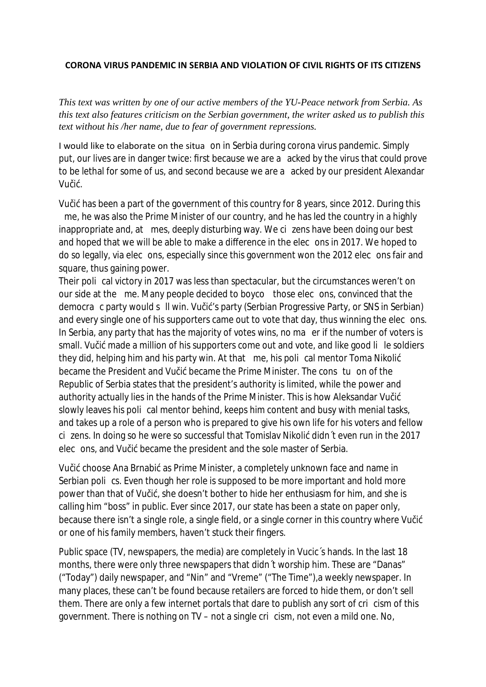## **CORONA VIRUS PANDEMIC IN SERBIA AND VIOLATION OF CIVIL RIGHTS OF ITS CITIZENS**

*This text was written by one of our active members of the YU-Peace network from Serbia. As this text also features criticism on the Serbian government, the writer asked us to publish this text without his /her name, due to fear of government repressions.*

I would like to elaborate on the situa on in Serbia during corona virus pandemic. Simply put, our lives are in danger twice: first because we are a acked by the virus that could prove to be lethal for some of us, and second because we are a acked by our president Alexandar Vu i .

Vu i has been a part of the government of this country for 8 years, since 2012. During this me, he was also the Prime Minister of our country, and he has led the country in a highly inappropriate and, at mes, deeply disturbing way. We ci zens have been doing our best and hoped that we will be able to make a di erence in the elec ons in 2017. We hoped to do so legally, via elec ons, especially since this government won the 2012 elec ons fair and square, thus gaining power.

Their poli cal victory in 2017 was less than spectacular, but the circumstances weren't on our side at the me. Many people decided to boyco those elec ons, convinced that the democra c party would s ll win. Vu i 's party (Serbian Progressive Party, or SNS in Serbian) and every single one of his supporters came out to vote that day, thus winning the elec ons. In Serbia, any party that has the majority of votes wins, no ma er if the number of voters is small. Vu i made a million of his supporters come out and vote, and like good li le soldiers they did, helping him and his party win. At that me, his poli cal mentor Toma Nikoli became the President and Vu i became the Prime Minister. The cons tu on of the Republic of Serbia states that the president's authority is limited, while the power and authority actually lies in the hands of the Prime Minister. This is how Aleksandar Vu i slowly leaves his poli cal mentor behind, keeps him content and busy with menial tasks, and takes up a role of a person who is prepared to give his own life for his voters and fellow ci zens. In doing so he were so successful that Tomislav Nikoli didn´t even run in the 2017 elec ons, and Vu i became the president and the sole master of Serbia.

Vu i choose Ana Brnabi as Prime Minister, a completely unknown face and name in Serbian poli cs. Even though her role is supposed to be more important and hold more power than that of Vu i , she doesn't bother to hide her enthusiasm for him, and she is calling him "boss" in public. Ever since 2017, our state has been a state on paper only, because there isn't a single role, a single field, or a single corner in this country where Vu i or one of his family members, haven't stuck their fingers.

Public space (TV, newspapers, the media) are completely in Vucic's hands. In the last 18 months, there were only three newspapers that didn't worship him. These are "Danas" ("Today") daily newspaper, and "Nin" and "Vreme" ("The Time"),a weekly newspaper. In many places, these can't be found because retailers are forced to hide them, or don't sell them. There are only a few internet portals that dare to publish any sort of cri cism of this government. There is nothing on TV – not a single cri cism, not even a mild one. No,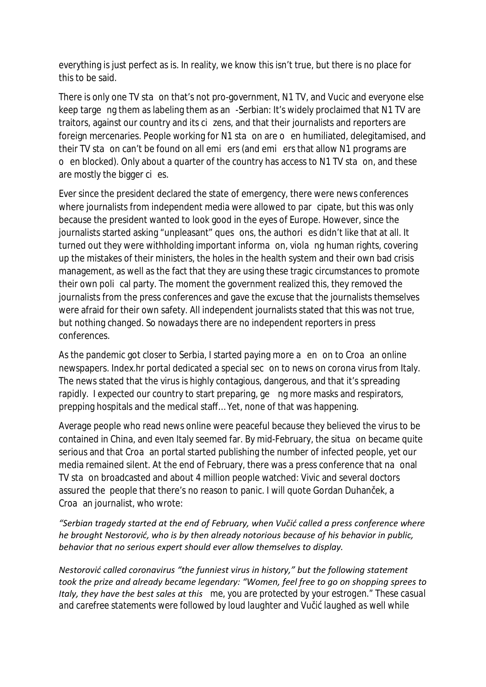everything is just perfect as is. In reality, we know this isn't true, but there is no place for this to be said.

There is only one TV sta on that's not pro-government, N1 TV, and Vucic and everyone else keep targe ng them as labeling them as an -Serbian: It's widely proclaimed that N1 TV are traitors, against our country and its ci zens, and that their journalists and reporters are foreign mercenaries. People working for N1 sta on are o en humiliated, delegitamised, and their TV sta on can't be found on all emi ers (and emi ers that allow N1 programs are o en blocked). Only about a quarter of the country has access to N1 TV sta on, and these are mostly the bigger cies.

Ever since the president declared the state of emergency, there were news conferences where journalists from independent media were allowed to par cipate, but this was only because the president wanted to look good in the eyes of Europe. However, since the journalists started asking "unpleasant" ques ons, the authori es didn't like that at all. It turned out they were withholding important informa on, viola ng human rights, covering up the mistakes of their ministers, the holes in the health system and their own bad crisis management, as well as the fact that they are using these tragic circumstances to promote their own poli cal party. The moment the government realized this, they removed the journalists from the press conferences and gave the excuse that the journalists themselves were afraid for their own safety. All independent journalists stated that this was not true, but nothing changed. So nowadays there are no independent reporters in press conferences.

As the pandemic got closer to Serbia, I started paying more a en on to Croa an online newspapers. Index.hr portal dedicated a special sec on to news on corona virus from Italy. The news stated that the virus is highly contagious, dangerous, and that it's spreading rapidly. I expected our country to start preparing, ge ng more masks and respirators, prepping hospitals and the medical sta … Yet, none of that was happening.

Average people who read news online were peaceful because they believed the virus to be contained in China, and even Italy seemed far. By mid-February, the situa on became quite serious and that Croa an portal started publishing the number of infected people, yet our media remained silent. At the end of February, there was a press conference that na onal TV sta on broadcasted and about 4 million people watched: Vivic and several doctors assured the people that there's no reason to panic. I will quote Gordan Duhan ek, a Croa an journalist, who wrote:

*"Serbian tragedy started at the end of February, when Vučić called a press conference where he brought Nestorović, who is by then already notorious because of his behavior in public, behavior that no serious expert should ever allow themselves to display.*

*Nestorović called coronavirus "the funniest virus in history," but the following statement took the prize and already became legendary: "Women, feel free to go on shopping sprees to Italy, they have the best sales at this me, you are protected by your estrogen." These casual and carefree statements were followed by loud laughter and Vu i laughed as well while*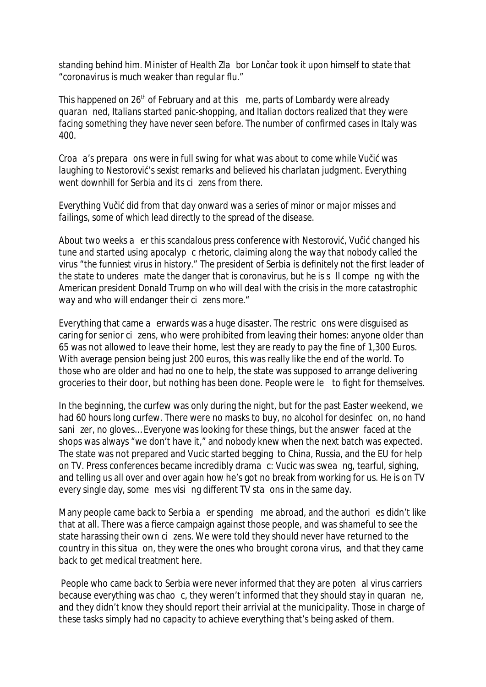*standing behind him. Minister of Health Zla bor Lon artook it upon himself to state that "coronavirus is much weaker than regular flu."*

*This happened on 26 th of February and at this me, parts of Lombardy were already quaran ned, Italians started panic-shopping, and Italian doctors realized that they were facing something they have never seen before. The number of confirmed cases in Italy was 400.*

*Croa a's prepara ons were in full swing for what was about to come while Vu i was laughing to Nestorovi 's sexist remarks and believed his charlatan judgment. Everything went downhill for Serbia and its cizens from there.*

*Everything Vu i did from that day onward was a series of minor or major misses and failings, some of which lead directly to the spread of the disease.*

*About two weeks a er this scandalous press conference with Nestorovi , Vu i changed his tune and started using apocalyp c rhetoric, claiming along the way that nobody called the virus "the funniest virus in history." The president of Serbia is definitely not the first leader of the state to underes mate the danger that is coronavirus, but he is s ll compe ng with the American president Donald Trump on who will deal with the crisis in the more catastrophic way and who will endanger their ci zens more."*

Everything that came a erwards was a huge disaster. The restric ons were disguised as caring for senior cizens, who were prohibited from leaving their homes: anyone older than 65 was not allowed to leave their home, lest they are ready to pay the fine of 1,300 Euros. With average pension being just 200 euros, this was really like the end of the world. To those who are older and had no one to help, the state was supposed to arrange delivering groceries to their door, but nothing has been done. People were le to fight for themselves.

In the beginning, the curfew was only during the night, but for the past Easter weekend, we had 60 hours long curfew. There were no masks to buy, no alcohol for desinfec on, no hand sani zer, no gloves… Everyone was looking for these things, but the answer faced at the shops was always "we don't have it," and nobody knew when the next batch was expected. The state was not prepared and Vucic started begging to China, Russia, and the EU for help on TV. Press conferences became incredibly drama c: Vucic was swea ng, tearful, sighing, and telling us all over and over again how he's got no break from working for us. He is on TV every single day, some mes visi ng di erent TV sta ons in the same day.

Many people came back to Serbia a er spending me abroad, and the authori es didn't like that at all. There was a fierce campaign against those people, and was shameful to see the state harassing their own ci zens. We were told they should never have returned to the country in this situa on, they were the ones who brought corona virus, and that they came back to get medical treatment here.

People who came back to Serbia were never informed that they are poten al virus carriers because everything was chao c, they weren't informed that they should stay in quaran ne, and they didn't know they should report their arrivial at the municipality. Those in charge of these tasks simply had no capacity to achieve everything that's being asked of them.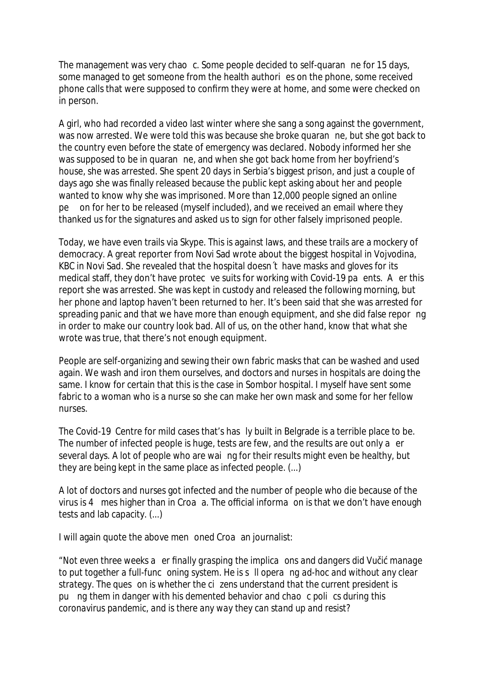The management was very chao c. Some people decided to self-quaran ne for 15 days, some managed to get someone from the health authori es on the phone, some received phone calls that were supposed to confirm they were at home, and some were checked on in person.

A girl, who had recorded a video last winter where she sang a song against the government, was now arrested. We were told this was because she broke quaran ne, but she got back to the country even before the state of emergency was declared. Nobody informed her she was supposed to be in quaran ne, and when she got back home from her boyfriend's house, she was arrested. She spent 20 days in Serbia's biggest prison, and just a couple of days ago she was finally released because the public kept asking about her and people wanted to know why she was imprisoned. More than 12,000 people signed an online pe on for her to be released (myself included), and we received an email where they thanked us for the signatures and asked us to sign for other falsely imprisoned people.

Today, we have even trails via Skype. This is against laws, and these trails are a mockery of democracy. A great reporter from Novi Sad wrote about the biggest hospital in Vojvodina, KBC in Novi Sad. She revealed that the hospital doesn´t have masks and gloves for its medical sta , they don't have protec ve suits for working with Covid-19 pa ents. A er this report she was arrested. She was kept in custody and released the following morning, but her phone and laptop haven't been returned to her. It's been said that she was arrested for spreading panic and that we have more than enough equipment, and she did false repor ng in order to make our country look bad. All of us, on the other hand, know that what she wrote was true, that there's not enough equipment.

People are self-organizing and sewing their own fabric masks that can be washed and used again. We wash and iron them ourselves, and doctors and nurses in hospitals are doing the same. I know for certain that this is the case in Sombor hospital. I myself have sent some fabric to a woman who is a nurse so she can make her own mask and some for her fellow nurses.

The Covid-19 Centre for mild cases that's has ly built in Belgrade is a terrible place to be. The number of infected people is huge, tests are few, and the results are out only a er several days. A lot of people who are wai ng for their results might even be healthy, but they are being kept in the same place as infected people. (...)

A lot of doctors and nurses got infected and the number of people who die because of the virus is 4 mes higher than in Croa a. The o cial informa on is that we don't have enough tests and lab capacity. (...)

I will again quote the above men oned Croa an journalist:

*"Not even three weeks a er finally grasping the implica ons and dangers did Vu i manage to put together a full-func oning system. He is s ll opera ng ad-hoc and without any clear strategy. The ques on is whether the ci zens understand that the current president is pu ng them in danger with his demented behavior and chao c poli cs during this coronavirus pandemic, and is there any way they can stand up and resist?*